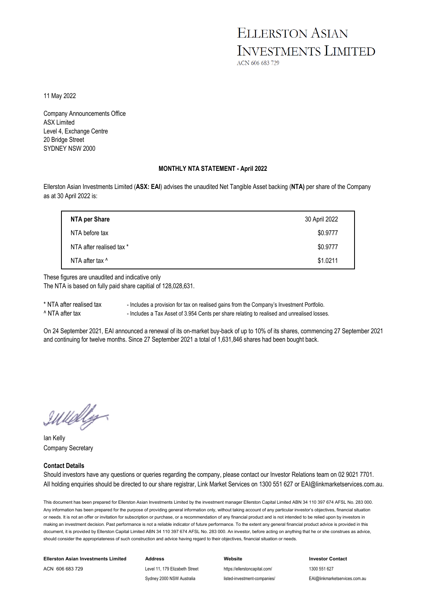## **ELLERSTON ASIAN INVESTMENTS LIMITED**

ACN 606 683 729

11 May 2022

Company Announcements Office ASX Limited Level 4, Exchange Centre 20 Bridge Street SYDNEY NSW 2000

#### **MONTHLY NTA STATEMENT - April 2022**

Ellerston Asian Investments Limited (**ASX: EAI**) advises the unaudited Net Tangible Asset backing (**NTA)** per share of the Company as at 30 April 2022 is:

| NTA per Share            | 30 April 2022 |
|--------------------------|---------------|
| NTA before tax           | \$0.9777      |
| NTA after realised tax * | \$0.9777      |
| NTA after tax ^          | \$1.0211      |

These figures are unaudited and indicative only The NTA is based on fully paid share capitial of 128,028,631.

\* NTA after realised tax - Includes a provision for tax on realised gains from the Company's Investment Portfolio. ^ NTA after tax - Includes a Tax Asset of 3.954 Cents per share relating to realised and unrealised losses.

On 24 September 2021, EAI announced a renewal of its on-market buy-back of up to 10% of its shares, commencing 27 September 2021 and continuing for twelve months. Since 27 September 2021 a total of 1,631,846 shares had been bought back.

IWelly

Ian Kelly Company Secretary

#### **Contact Details**

Should investors have any questions or queries regarding the company, please contact our Investor Relations team on 02 9021 7701. All holding enquiries should be directed to our share registrar, Link Market Services on 1300 551 627 or EAI@linkmarketservices.com.au.

This document has been prepared for Ellerston Asian Investments Limited by the investment manager Ellerston Capital Limited ABN 34 110 397 674 AFSL No. 283 000. Any information has been prepared for the purpose of providing general information only, without taking account of any particular investor's objectives, financial situation or needs. It is not an offer or invitation for subscription or purchase, or a recommendation of any financial product and is not intended to be relied upon by investors in making an investment decision. Past performance is not a reliable indicator of future performance. To the extent any general financial product advice is provided in this document, it is provided by Ellerston Capital Limited ABN 34 110 397 674 AFSL No. 283 000. An investor, before acting on anything that he or she construes as advice. should consider the appropriateness of such construction and advice having regard to their objectives, financial situation or needs.

| Ellerston Asian Investments Limited | Address                        | Website                       | <b>Investor Contact</b>       |
|-------------------------------------|--------------------------------|-------------------------------|-------------------------------|
| ACN 606 683 729                     | Level 11, 179 Elizabeth Street | https://ellerstoncapital.com/ | 1300 551 627                  |
|                                     | Sydney 2000 NSW Australia      | listed-investment-companies/  | EAI@linkmarketservices.com.au |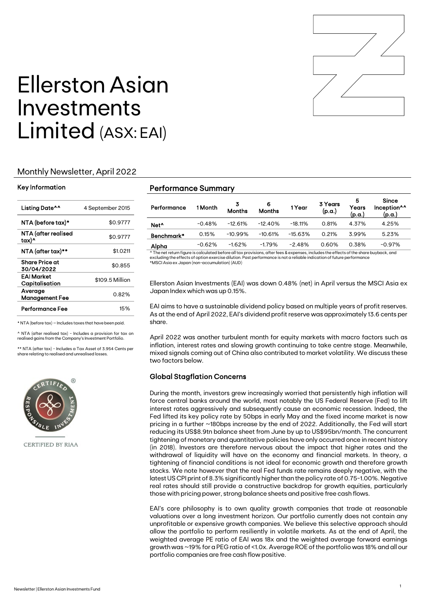

# Ellerston Asian Investments Limited (ASX: EAI)

#### Monthly Newsletter, April 2022

#### Key Information

| Listing Date^^                   | 4 September 2015 |
|----------------------------------|------------------|
| NTA (before tax)*                | \$0.9777         |
| NTA (after realised<br>tax)^     | \$0.9777         |
| NTA (after tax)**                | \$1.0211         |
| Share Price at<br>30/04/2022     | \$0.855          |
| EAI Market<br>Capitalisation     | \$109.5 Million  |
| Average<br><b>Management Fee</b> | 0.82%            |
| Performance Fee                  | 15%              |

\* NTA (before tax) – Includes taxes that have been paid.

^ NTA (after realised tax) - Includes a provision for tax on realised gains from the Company's Investment Portfolio.

\*\* NTA (after tax) - Includes a Tax Asset of 3.954 Cents per share relating to realised and unrealised losses.



CERTIFIED BY RIAA

#### Performance Summary

| Performance      | 1 Month  | 3<br><b>Months</b> | 6<br><b>Months</b> | 1 Year    | 3 Years<br>(p.a.) | 5<br>Years<br>(p.a.) | <b>Since</b><br>Inception <sup>^^</sup><br>(p.a.) |
|------------------|----------|--------------------|--------------------|-----------|-------------------|----------------------|---------------------------------------------------|
| Net <sup>^</sup> | $-0.48%$ | $-12.61%$          | $-12.40%$          | $-18.11%$ | 0.81%             | 4.37%                | 4.25%                                             |
| Benchmark*       | 0.15%    | $-10.99%$          | $-10.61%$          | $-15.63%$ | 0.21%             | 3.99%                | 5.23%                                             |
| Alpha            | $-0.62%$ | $-1.62%$           | $-1.79%$           | $-2.48%$  | 0.60%             | 0.38%                | $-0.97\%$                                         |

^ The net return figure is calculated before all tax provisions, after fees & expenses, includes the effects of the share buyback, and excluding the effects of option exercise dilution. Past performance is not a reliable indication of future performance \*MSCI Asia ex Japan (non-accumulation) (AUD)

Ellerston Asian Investments (EAI) was down 0.48% (net) in April versus the MSCI Asia ex Japan Index which was up 0.15%.

EAI aims to have a sustainable dividend policy based on multiple years of profit reserves. As at the end of April 2022, EAI's dividend profit reserve was approximately 13.6 cents per share.

April 2022 was another turbulent month for equity markets with macro factors such as inflation, interest rates and slowing growth continuing to take centre stage. Meanwhile, mixed signals coming out of China also contributed to market volatility. We discuss these two factors below.

#### Global Stagflation Concerns

During the month, investors grew increasingly worried that persistently high inflation will force central banks around the world, most notably the US Federal Reserve (Fed) to lift interest rates aggressively and subsequently cause an economic recession. Indeed, the Fed lifted its key policy rate by 50bps in early May and the fixed income market is now pricing in a further ~180bps increase by the end of 2022. Additionally, the Fed will start reducing its US\$8.9tn balance sheet from June by up to US\$95bn/month. The concurrent tightening of monetary and quantitative policies have only occurred once in recent history (in 2018). Investors are therefore nervous about the impact that higher rates and the withdrawal of liquidity will have on the economy and financial markets. In theory, a tightening of financial conditions is not ideal for economic growth and therefore growth stocks. We note however that the real Fed funds rate remains deeply negative, with the latest US CPI print of 8.3% significantly higher than the policy rate of 0.75-1.00%. Negative real rates should still provide a constructive backdrop for growth equities, particularly those with pricing power, strong balance sheets and positive free cash flows.

EAI's core philosophy is to own quality growth companies that trade at reasonable valuations over a long investment horizon. Our portfolio currently does not contain any unprofitable or expensive growth companies. We believe this selective approach should allow the portfolio to perform resiliently in volatile markets. As at the end of April, the weighted average PE ratio of EAI was 18x and the weighted average forward earnings growth was ~19% for a PEG ratio of <1.0x. Average ROE of the portfolio was 18% and all our portfolio companies are free cash flow positive.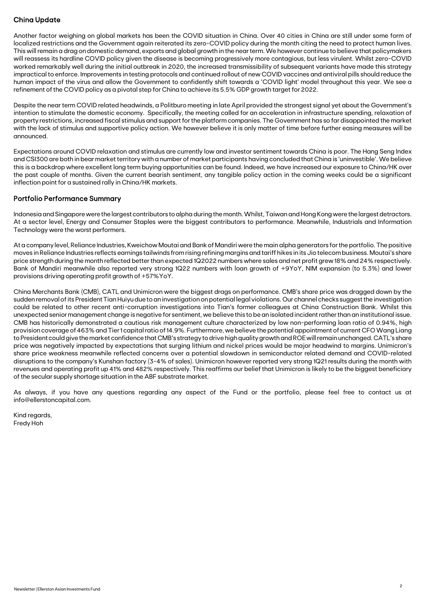### China Update

Another factor weighing on global markets has been the COVID situation in China. Over 40 cities in China are still under some form of localized restrictions and the Government again reiterated its zero-COVID policy during the month citing the need to protect human lives. This will remain a drag on domestic demand, exports and global growth in the near term. We however continue to believe that policymakers will reassess its hardline COVID policy given the disease is becoming progressively more contagious, but less virulent. Whilst zero-COVID worked remarkably well during the initial outbreak in 2020, the increased transmissibility of subsequent variants have made this strategy impractical to enforce. Improvements in testing protocols and continued rollout of new COVID vaccines and antiviral pills should reduce the human impact of the virus and allow the Government to confidently shift towards a 'COVID light' model throughout this year. We see a refinement of the COVID policy as a pivotal step for China to achieve its 5.5% GDP growth target for 2022.

Despite the near term COVID related headwinds, a Politburo meeting in late April provided the strongest signal yet about the Government's intention to stimulate the domestic economy. Specifically, the meeting called for an acceleration in infrastructure spending, relaxation of property restrictions, increased fiscal stimulus and support for the platform companies. The Government has so far disappointed the market with the lack of stimulus and supportive policy action. We however believe it is only matter of time before further easing measures will be announced.

Expectations around COVID relaxation and stimulus are currently low and investor sentiment towards China is poor. The Hang Seng Index and CSI300 are both in bear market territory with a number of market participants having concluded that China is 'uninvestible'. We believe this is a backdrop where excellent long term buying opportunities can be found. Indeed, we have increased our exposure to China/HK over the past couple of months. Given the current bearish sentiment, any tangible policy action in the coming weeks could be a significant inflection point for a sustained rally in China/HK markets.

#### Portfolio Performance Summary

Indonesia and Singapore were the largest contributors to alpha during the month. Whilst, Taiwan and Hong Kong were the largest detractors. At a sector level, Energy and Consumer Staples were the biggest contributors to performance. Meanwhile, Industrials and Information Technology were the worst performers.

At a company level, Reliance Industries, Kweichow Moutai and Bank of Mandiri were the main alpha generators for the portfolio. The positive moves in Reliance Industries reflects earnings tailwinds from rising refining margins and tariff hikes in its Jio telecom business. Moutai's share price strength during the month reflected better than expected 1Q2022 numbers where sales and net profit grew 18% and 24% respectively. Bank of Mandiri meanwhile also reported very strong 1Q22 numbers with loan growth of +9YoY, NIM expansion (to 5.3%) and lower provisions driving operating profit growth of +57%YoY.

China Merchants Bank (CMB), CATL and Unimicron were the biggest drags on performance. CMB's share price was dragged down by the sudden removal of its President Tian Huiyu due to an investigation on potential legal violations. Our channel checks suggest the investigation could be related to other recent anti-corruption investigations into Tian's former colleagues at China Construction Bank. Whilst this unexpected senior management change is negative for sentiment, we believe this to be an isolated incident rather than an institutional issue. CMB has historically demonstrated a cautious risk management culture characterized by low non-performing loan ratio of 0.94%, high provision coverage of 463% and Tier 1 capital ratio of 14.9%. Furthermore, we believe the potential appointment of current CFO Wang Liang to President could give the market confidence that CMB's strategy to drive high quality growth and ROE will remain unchanged.CATL's share price was negatively impacted by expectations that surging lithium and nickel prices would be major headwind to margins. Unimicron's share price weakness meanwhile reflected concerns over a potential slowdown in semiconductor related demand and COVID-related disruptions to the company's Kunshan factory (3-4% of sales). Unimicron however reported very strong 1Q21 results during the month with revenues and operating profit up 41% and 482% respectively. This reaffirms our belief that Unimicron is likely to be the biggest beneficiary of the secular supply shortage situation in the ABF substrate market.

As always, if you have any questions regarding any aspect of the Fund or the portfolio, please feel free to contact us at info@ellerstoncapital.com.

Kind regards, Fredy Hoh